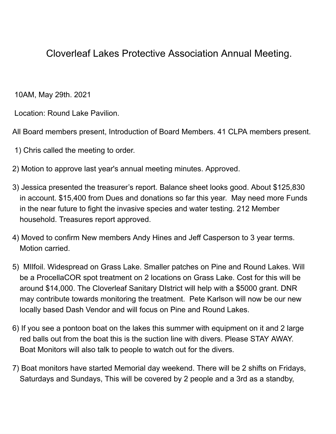## Cloverleaf Lakes Protective Association Annual Meeting.

10AM, May 29th. 2021

Location: Round Lake Pavilion.

All Board members present, Introduction of Board Members. 41 CLPA members present.

- 1) Chris called the meeting to order.
- 2) Motion to approve last year's annual meeting minutes. Approved.
- 3) Jessica presented the treasurer's report. Balance sheet looks good. About \$125,830 in account. \$15,400 from Dues and donations so far this year. May need more Funds in the near future to fight the invasive species and water testing. 212 Member household. Treasures report approved.
- 4) Moved to confirm New members Andy Hines and Jeff Casperson to 3 year terms. Motion carried.
- 5) MIlfoil. Widespread on Grass Lake. Smaller patches on Pine and Round Lakes. Will be a ProcellaCOR spot treatment on 2 locations on Grass Lake. Cost for this will be around \$14,000. The Cloverleaf Sanitary DIstrict will help with a \$5000 grant. DNR may contribute towards monitoring the treatment. Pete Karlson will now be our new locally based Dash Vendor and will focus on Pine and Round Lakes.
- 6) If you see a pontoon boat on the lakes this summer with equipment on it and 2 large red balls out from the boat this is the suction line with divers. Please STAY AWAY. Boat Monitors will also talk to people to watch out for the divers.
- 7) Boat monitors have started Memorial day weekend. There will be 2 shifts on Fridays, Saturdays and Sundays, This will be covered by 2 people and a 3rd as a standby,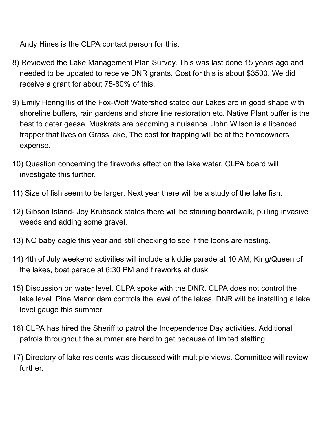Andy Hines is the CLPA contact person for this.

- 8) Reviewed the Lake Management Plan Survey. This was last done 15 years ago and needed to be updated to receive DNR grants. Cost for this is about \$3500. We did receive a grant for about 75-80% of this.
- 9) Emily Henrigillis of the Fox-Wolf Watershed stated our Lakes are in good shape with shoreline buffers, rain gardens and shore line restoration etc. Native Plant buffer is the best to deter geese. Muskrats are becoming a nuisance. John Wilson is a licenced trapper that lives on Grass lake, The cost for trapping will be at the homeowners expense.
- 10) Question concerning the fireworks effect on the lake water. CLPA board will investigate this further.
- 11) Size of fish seem to be larger. Next year there will be a study of the lake fish.
- 12) Gibson Island- Joy Krubsack states there will be staining boardwalk, pulling invasive weeds and adding some gravel.
- 13) NO baby eagle this year and still checking to see if the loons are nesting.
- 14) 4th of July weekend activities will include a kiddie parade at 10 AM, King/Queen of the lakes, boat parade at 6:30 PM and fireworks at dusk.
- 15) Discussion on water level. CLPA spoke with the DNR. CLPA does not control the lake level. Pine Manor dam controls the level of the lakes. DNR will be installing a lake level gauge this summer.
- 16) CLPA has hired the Sheriff to patrol the Independence Day activities. Additional patrols throughout the summer are hard to get because of limited staffing.
- 17) Directory of lake residents was discussed with multiple views. Committee will review further.